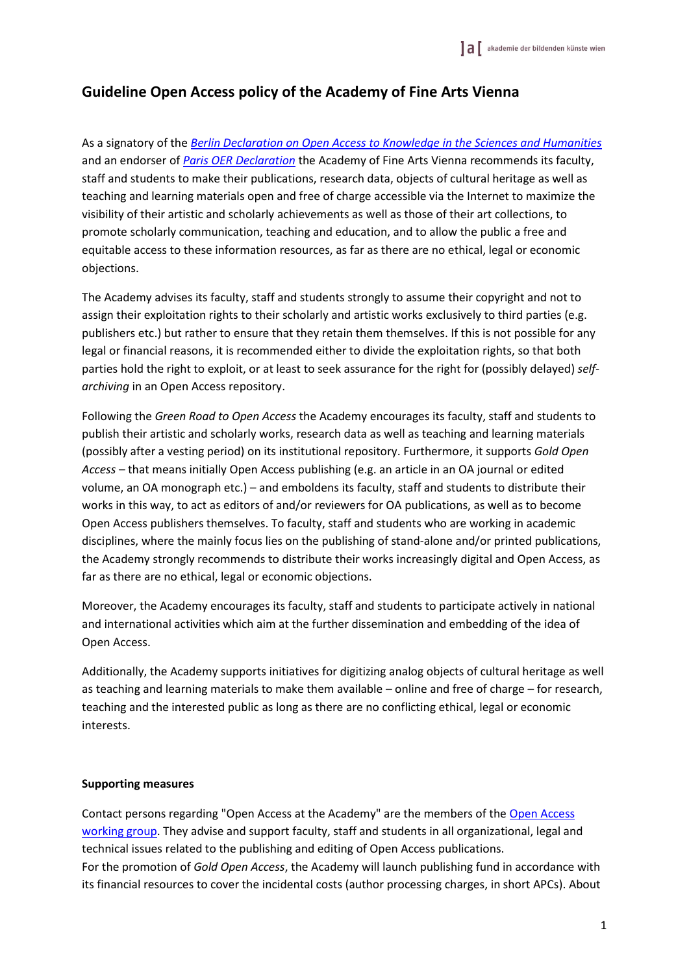## **Guideline Open Access policy of the Academy of Fine Arts Vienna**

As a signatory of the *[Berlin Declaration on Open Access to Knowledge in the Sciences and Humanities](http://openaccess.mpg.de/Berlin-Declaration)* and an endorser of *[Paris OER Declaration](http://www.unesco.org/new/fileadmin/MULTIMEDIA/HQ/CI/CI/pdf/Events/English_Paris_OER_Declaration.pdf)* the Academy of Fine Arts Vienna recommends its faculty, staff and students to make their publications, research data, objects of cultural heritage as well as teaching and learning materials open and free of charge accessible via the Internet to maximize the visibility of their artistic and scholarly achievements as well as those of their art collections, to promote scholarly communication, teaching and education, and to allow the public a free and equitable access to these information resources, as far as there are no ethical, legal or economic objections.

The Academy advises its faculty, staff and students strongly to assume their copyright and not to assign their exploitation rights to their scholarly and artistic works exclusively to third parties (e.g. publishers etc.) but rather to ensure that they retain them themselves. If this is not possible for any legal or financial reasons, it is recommended either to divide the exploitation rights, so that both parties hold the right to exploit, or at least to seek assurance for the right for (possibly delayed) *selfarchiving* in an Open Access repository.

Following the *Green Road to Open Access* the Academy encourages its faculty, staff and students to publish their artistic and scholarly works, research data as well as teaching and learning materials (possibly after a vesting period) on its institutional repository. Furthermore, it supports *Gold Open Access* – that means initially Open Access publishing (e.g. an article in an OA journal or edited volume, an OA monograph etc.) – and emboldens its faculty, staff and students to distribute their works in this way, to act as editors of and/or reviewers for OA publications, as well as to become Open Access publishers themselves. To faculty, staff and students who are working in academic disciplines, where the mainly focus lies on the publishing of stand-alone and/or printed publications, the Academy strongly recommends to distribute their works increasingly digital and Open Access, as far as there are no ethical, legal or economic objections.

Moreover, the Academy encourages its faculty, staff and students to participate actively in national and international activities which aim at the further dissemination and embedding of the idea of Open Access.

Additionally, the Academy supports initiatives for digitizing analog objects of cultural heritage as well as teaching and learning materials to make them available – online and free of charge – for research, teaching and the interested public as long as there are no conflicting ethical, legal or economic interests.

## **Supporting measures**

Contact persons regarding "Open Access at the Academy" are the members of the [Open Access](https://www.akbild.ac.at/Portal/kunst-forschung/open-access) [working group.](https://www.akbild.ac.at/Portal/kunst-forschung/open-access) They advise and support faculty, staff and students in all organizational, legal and technical issues related to the publishing and editing of Open Access publications. For the promotion of *Gold Open Access*, the Academy will launch publishing fund in accordance with its financial resources to cover the incidental costs (author processing charges, in short APCs). About